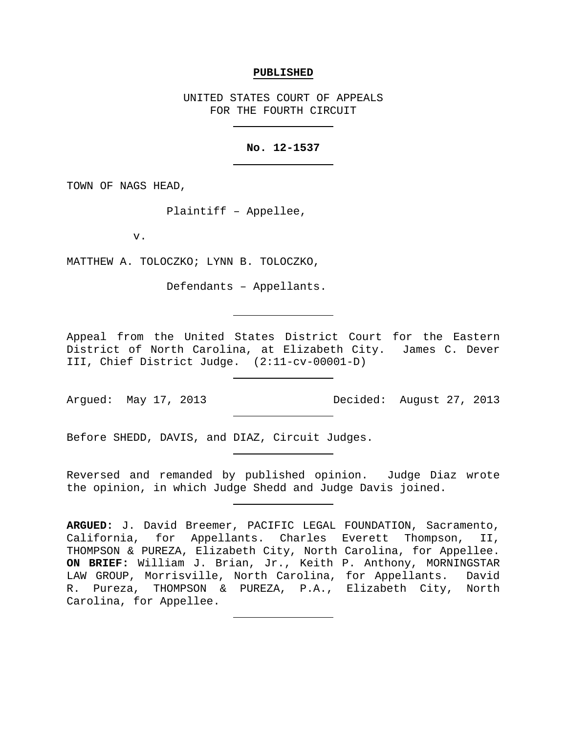#### **PUBLISHED**

UNITED STATES COURT OF APPEALS FOR THE FOURTH CIRCUIT

## **No. 12-1537**

TOWN OF NAGS HEAD,

Plaintiff – Appellee,

v.

MATTHEW A. TOLOCZKO; LYNN B. TOLOCZKO,

Defendants – Appellants.

Appeal from the United States District Court for the Eastern District of North Carolina, at Elizabeth City. James C. Dever III, Chief District Judge. (2:11-cv-00001-D)

Argued: May 17, 2013 Decided: August 27, 2013

Before SHEDD, DAVIS, and DIAZ, Circuit Judges.

Reversed and remanded by published opinion. Judge Diaz wrote the opinion, in which Judge Shedd and Judge Davis joined.

**ARGUED:** J. David Breemer, PACIFIC LEGAL FOUNDATION, Sacramento, California, for Appellants. Charles Everett Thompson, II, THOMPSON & PUREZA, Elizabeth City, North Carolina, for Appellee. **ON BRIEF:** William J. Brian, Jr., Keith P. Anthony, MORNINGSTAR LAW GROUP, Morrisville, North Carolina, for Appellants. David R. Pureza, THOMPSON & PUREZA, P.A., Elizabeth City, North Carolina, for Appellee.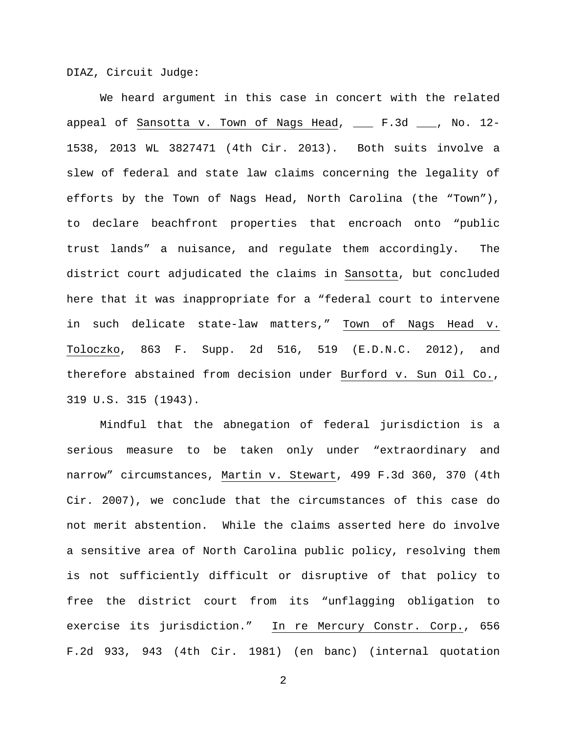DIAZ, Circuit Judge:

We heard argument in this case in concert with the related appeal of Sansotta v. Town of Nags Head, \_\_\_ F.3d \_\_\_, No. 12- 1538, 2013 WL 3827471 (4th Cir. 2013). Both suits involve a slew of federal and state law claims concerning the legality of efforts by the Town of Nags Head, North Carolina (the "Town"), to declare beachfront properties that encroach onto "public trust lands" a nuisance, and regulate them accordingly. The district court adjudicated the claims in Sansotta, but concluded here that it was inappropriate for a "federal court to intervene in such delicate state-law matters," Town of Nags Head v. Toloczko, 863 F. Supp. 2d 516, 519 (E.D.N.C. 2012), and therefore abstained from decision under Burford v. Sun Oil Co., 319 U.S. 315 (1943).

Mindful that the abnegation of federal jurisdiction is a serious measure to be taken only under "extraordinary and narrow" circumstances, Martin v. Stewart, 499 F.3d 360, 370 (4th Cir. 2007), we conclude that the circumstances of this case do not merit abstention. While the claims asserted here do involve a sensitive area of North Carolina public policy, resolving them is not sufficiently difficult or disruptive of that policy to free the district court from its "unflagging obligation to exercise its jurisdiction." In re Mercury Constr. Corp., 656 F.2d 933, 943 (4th Cir. 1981) (en banc) (internal quotation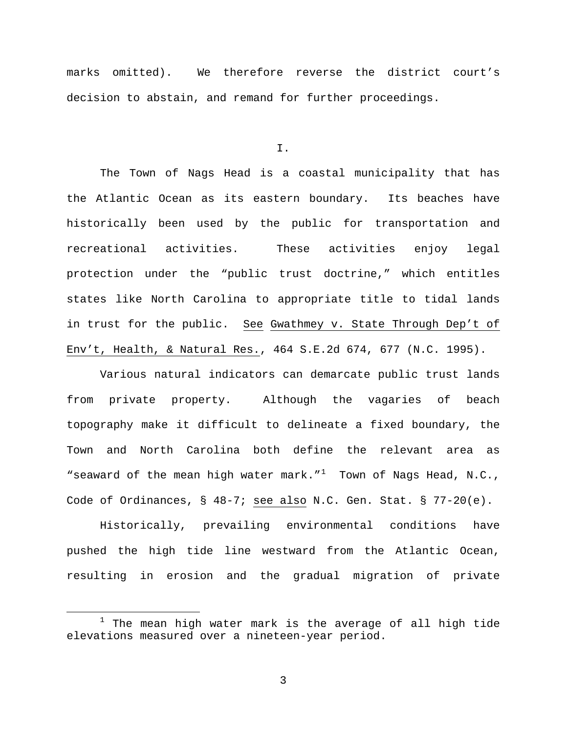marks omitted). We therefore reverse the district court's decision to abstain, and remand for further proceedings.

I.

The Town of Nags Head is a coastal municipality that has the Atlantic Ocean as its eastern boundary. Its beaches have historically been used by the public for transportation and recreational activities. These activities enjoy legal protection under the "public trust doctrine," which entitles states like North Carolina to appropriate title to tidal lands in trust for the public. See Gwathmey v. State Through Dep't of Env't, Health, & Natural Res., 464 S.E.2d 674, 677 (N.C. 1995).

Various natural indicators can demarcate public trust lands from private property. Although the vagaries of beach topography make it difficult to delineate a fixed boundary, the Town and North Carolina both define the relevant area as "seaward of the mean high water mark." $1$  Town of Nags Head, N.C., Code of Ordinances, § 48-7; see also N.C. Gen. Stat. § 77-20(e).

Historically, prevailing environmental conditions have pushed the high tide line westward from the Atlantic Ocean, resulting in erosion and the gradual migration of private

<span id="page-2-0"></span> $1$  The mean high water mark is the average of all high tide elevations measured over a nineteen-year period.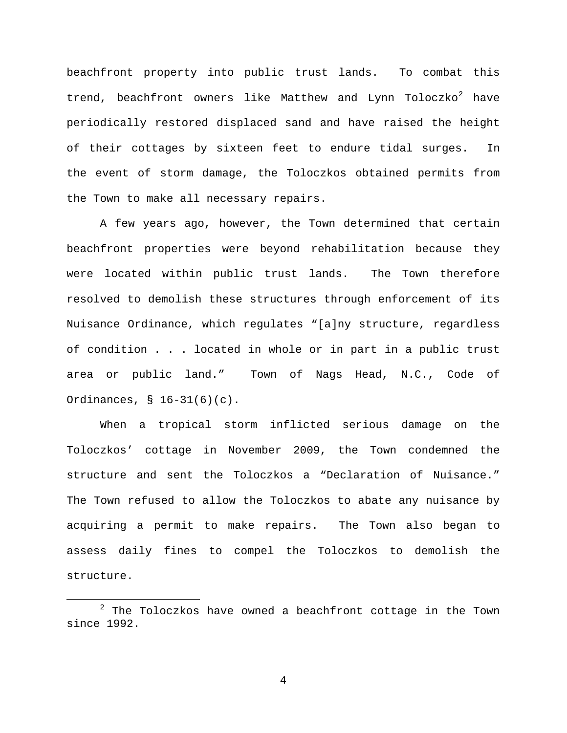beachfront property into public trust lands. To combat this trend, beachfront owners like Matthew and Lynn Toloczko<sup>[2](#page-3-0)</sup> have periodically restored displaced sand and have raised the height of their cottages by sixteen feet to endure tidal surges. In the event of storm damage, the Toloczkos obtained permits from the Town to make all necessary repairs.

A few years ago, however, the Town determined that certain beachfront properties were beyond rehabilitation because they were located within public trust lands. The Town therefore resolved to demolish these structures through enforcement of its Nuisance Ordinance, which regulates "[a]ny structure, regardless of condition . . . located in whole or in part in a public trust area or public land." Town of Nags Head, N.C., Code of Ordinances, § 16-31(6)(c).

When a tropical storm inflicted serious damage on the Toloczkos' cottage in November 2009, the Town condemned the structure and sent the Toloczkos a "Declaration of Nuisance." The Town refused to allow the Toloczkos to abate any nuisance by acquiring a permit to make repairs. The Town also began to assess daily fines to compel the Toloczkos to demolish the structure.

<span id="page-3-0"></span> $2$  The Toloczkos have owned a beachfront cottage in the Town since 1992.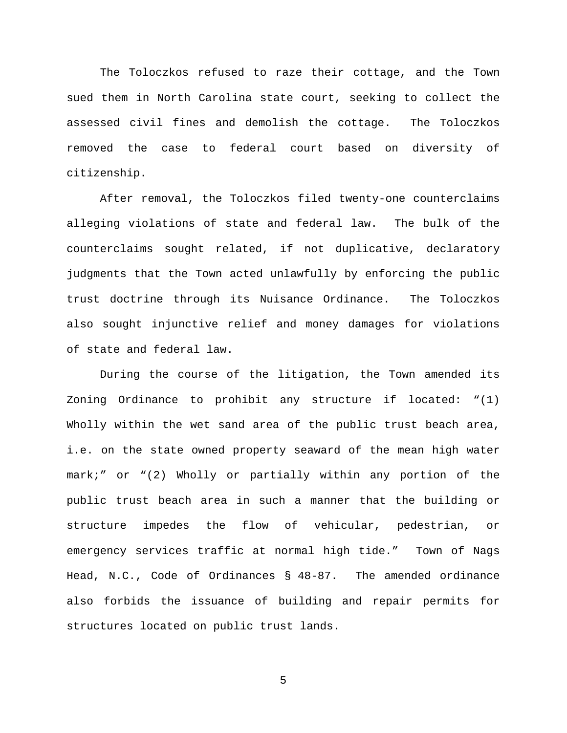The Toloczkos refused to raze their cottage, and the Town sued them in North Carolina state court, seeking to collect the assessed civil fines and demolish the cottage. The Toloczkos removed the case to federal court based on diversity of citizenship.

After removal, the Toloczkos filed twenty-one counterclaims alleging violations of state and federal law. The bulk of the counterclaims sought related, if not duplicative, declaratory judgments that the Town acted unlawfully by enforcing the public trust doctrine through its Nuisance Ordinance. The Toloczkos also sought injunctive relief and money damages for violations of state and federal law.

During the course of the litigation, the Town amended its Zoning Ordinance to prohibit any structure if located: "(1) Wholly within the wet sand area of the public trust beach area, i.e. on the state owned property seaward of the mean high water mark;" or "(2) Wholly or partially within any portion of the public trust beach area in such a manner that the building or structure impedes the flow of vehicular, pedestrian, or emergency services traffic at normal high tide." Town of Nags Head, N.C., Code of Ordinances § 48-87. The amended ordinance also forbids the issuance of building and repair permits for structures located on public trust lands.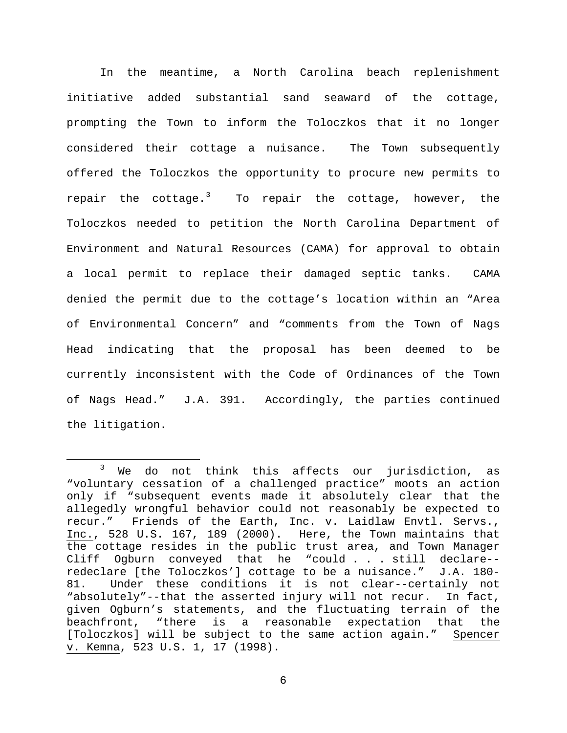In the meantime, a North Carolina beach replenishment initiative added substantial sand seaward of the cottage, prompting the Town to inform the Toloczkos that it no longer considered their cottage a nuisance. The Town subsequently offered the Toloczkos the opportunity to procure new permits to repair the cottage.<sup>[3](#page-5-0)</sup> To repair the cottage, however, the Toloczkos needed to petition the North Carolina Department of Environment and Natural Resources (CAMA) for approval to obtain a local permit to replace their damaged septic tanks. CAMA denied the permit due to the cottage's location within an "Area of Environmental Concern" and "comments from the Town of Nags Head indicating that the proposal has been deemed to be currently inconsistent with the Code of Ordinances of the Town of Nags Head." J.A. 391. Accordingly, the parties continued the litigation.

<span id="page-5-0"></span> $3$  We do not think this affects our jurisdiction, as "voluntary cessation of a challenged practice" moots an action only if "subsequent events made it absolutely clear that the allegedly wrongful behavior could not reasonably be expected to recur." Friends of the Earth, Inc. v. Laidlaw Envtl. Servs., Inc., 528 U.S. 167, 189 (2000). Here, the Town maintains that the cottage resides in the public trust area, and Town Manager Cliff Ogburn conveyed that he "could . . . still declare- redeclare [the Toloczkos'] cottage to be a nuisance." J.A. 180- Under these conditions it is not clear--certainly not "absolutely"--that the asserted injury will not recur. In fact, given Ogburn's statements, and the fluctuating terrain of the beachfront, "there is a reasonable expectation that the [Toloczkos] will be subject to the same action again." Spencer v. Kemna, 523 U.S. 1, 17 (1998).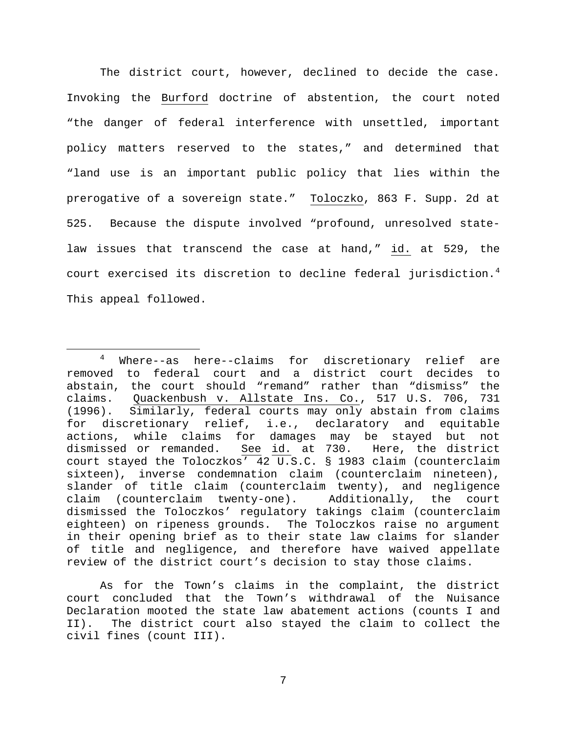The district court, however, declined to decide the case. Invoking the Burford doctrine of abstention, the court noted "the danger of federal interference with unsettled, important policy matters reserved to the states," and determined that "land use is an important public policy that lies within the prerogative of a sovereign state." Toloczko, 863 F. Supp. 2d at 525. Because the dispute involved "profound, unresolved statelaw issues that transcend the case at hand," id. at 529, the court exercised its discretion to decline federal jurisdiction. $^4$  $^4$ This appeal followed.

As for the Town's claims in the complaint, the district court concluded that the Town's withdrawal of the Nuisance Declaration mooted the state law abatement actions (counts I and II). The district court also stayed the claim to collect the civil fines (count III).

<span id="page-6-0"></span> <sup>4</sup> Where--as here--claims for discretionary relief are removed to federal court and a district court decides to abstain, the court should "remand" rather than "dismiss" the claims. Quackenbush v. Allstate Ins. Co., 517 U.S. 706, 731<br>(1996). Similarly, federal courts may only abstain from claims Similarly, federal courts may only abstain from claims for discretionary relief, i.e., declaratory and equitable actions, while claims for damages may be stayed but not dismissed or remanded. See id. at 730. Here, the district court stayed the Toloczkos' 42 U.S.C. § 1983 claim (counterclaim sixteen), inverse condemnation claim (counterclaim nineteen), slander of title claim (counterclaim twenty), and negligence claim (counterclaim twenty-one). Additionally, the court dismissed the Toloczkos' regulatory takings claim (counterclaim eighteen) on ripeness grounds. The Toloczkos raise no argument in their opening brief as to their state law claims for slander of title and negligence, and therefore have waived appellate review of the district court's decision to stay those claims.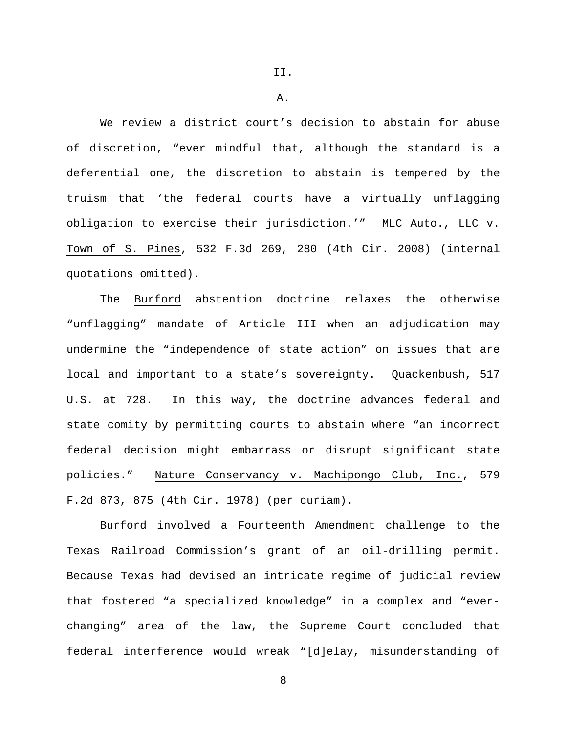A.

We review a district court's decision to abstain for abuse of discretion, "ever mindful that, although the standard is a deferential one, the discretion to abstain is tempered by the truism that 'the federal courts have a virtually unflagging obligation to exercise their jurisdiction.'" MLC Auto., LLC v. Town of S. Pines, 532 F.3d 269, 280 (4th Cir. 2008) (internal quotations omitted).

The Burford abstention doctrine relaxes the otherwise "unflagging" mandate of Article III when an adjudication may undermine the "independence of state action" on issues that are local and important to a state's sovereignty. Quackenbush, 517 U.S. at 728. In this way, the doctrine advances federal and state comity by permitting courts to abstain where "an incorrect federal decision might embarrass or disrupt significant state policies." Nature Conservancy v. Machipongo Club, Inc., 579 F.2d 873, 875 (4th Cir. 1978) (per curiam).

Burford involved a Fourteenth Amendment challenge to the Texas Railroad Commission's grant of an oil-drilling permit. Because Texas had devised an intricate regime of judicial review that fostered "a specialized knowledge" in a complex and "everchanging" area of the law, the Supreme Court concluded that federal interference would wreak "[d]elay, misunderstanding of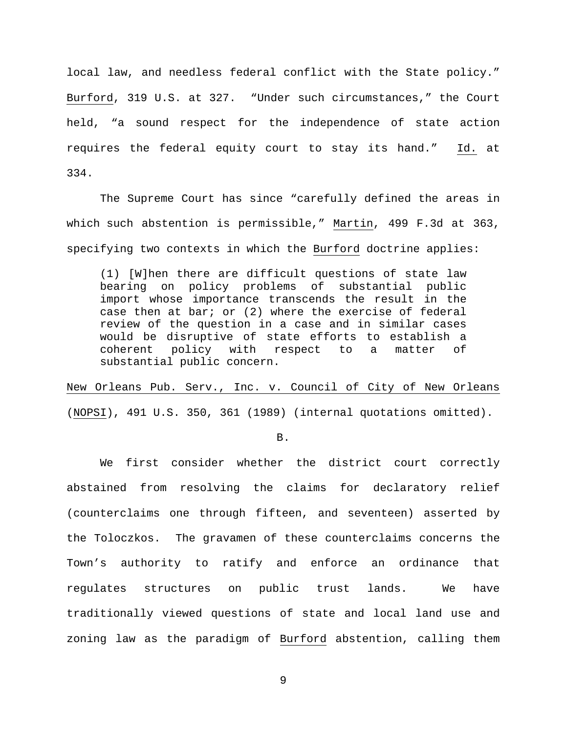local law, and needless federal conflict with the State policy." Burford, 319 U.S. at 327. "Under such circumstances," the Court held, "a sound respect for the independence of state action requires the federal equity court to stay its hand." Id. at 334.

The Supreme Court has since "carefully defined the areas in which such abstention is permissible," Martin, 499 F.3d at 363, specifying two contexts in which the Burford doctrine applies:

(1) [W]hen there are difficult questions of state law bearing on policy problems of substantial public import whose importance transcends the result in the case then at bar; or (2) where the exercise of federal review of the question in a case and in similar cases would be disruptive of state efforts to establish a coherent policy with respect to a matter of substantial public concern.

New Orleans Pub. Serv., Inc. v. Council of City of New Orleans (NOPSI), 491 U.S. 350, 361 (1989) (internal quotations omitted).

B.

We first consider whether the district court correctly abstained from resolving the claims for declaratory relief (counterclaims one through fifteen, and seventeen) asserted by the Toloczkos. The gravamen of these counterclaims concerns the Town's authority to ratify and enforce an ordinance that regulates structures on public trust lands. We have traditionally viewed questions of state and local land use and zoning law as the paradigm of Burford abstention, calling them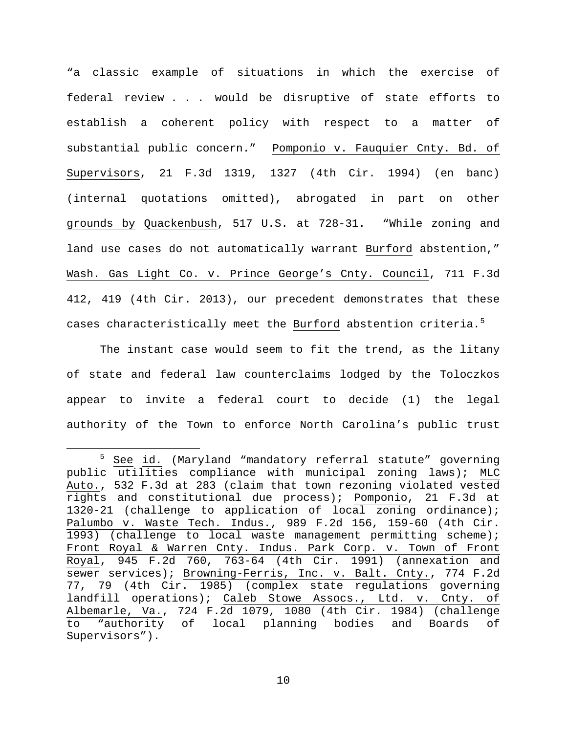"a classic example of situations in which the exercise of federal review . . . would be disruptive of state efforts to establish a coherent policy with respect to a matter of substantial public concern." Pomponio v. Fauquier Cnty. Bd. of Supervisors, 21 F.3d 1319, 1327 (4th Cir. 1994) (en banc) (internal quotations omitted), abrogated in part on other grounds by Quackenbush, 517 U.S. at 728-31. "While zoning and land use cases do not automatically warrant Burford abstention," Wash. Gas Light Co. v. Prince George's Cnty. Council, 711 F.3d 412, 419 (4th Cir. 2013), our precedent demonstrates that these cases characteristically meet the <u>Burford</u> abstention criteria.<sup>[5](#page-9-0)</sup>

The instant case would seem to fit the trend, as the litany of state and federal law counterclaims lodged by the Toloczkos appear to invite a federal court to decide (1) the legal authority of the Town to enforce North Carolina's public trust

<span id="page-9-0"></span><sup>&</sup>lt;sup>5</sup> See id. (Maryland "mandatory referral statute" governing public utilities compliance with municipal zoning laws); MLC Auto., 532 F.3d at 283 (claim that town rezoning violated vested rights and constitutional due process); Pomponio, 21 F.3d at 1320-21 (challenge to application of local zoning ordinance); Palumbo v. Waste Tech. Indus., 989 F.2d 156, 159-60 (4th Cir. 1993) (challenge to local waste management permitting scheme); Front Royal & Warren Cnty. Indus. Park Corp. v. Town of Front Royal, 945 F.2d 760, 763-64 (4th Cir. 1991) (annexation and sewer services); Browning-Ferris, Inc. v. Balt. Cnty., 774 F.2d 77, 79 (4th Cir. 1985) (complex state regulations governing landfill operations); Caleb Stowe Assocs., Ltd. v. Cnty. of Albemarle, Va., 724 F.2d 1079, 1080 (4th Cir. 1984) (challenge to "authority of local planning bodies and Boards of Supervisors").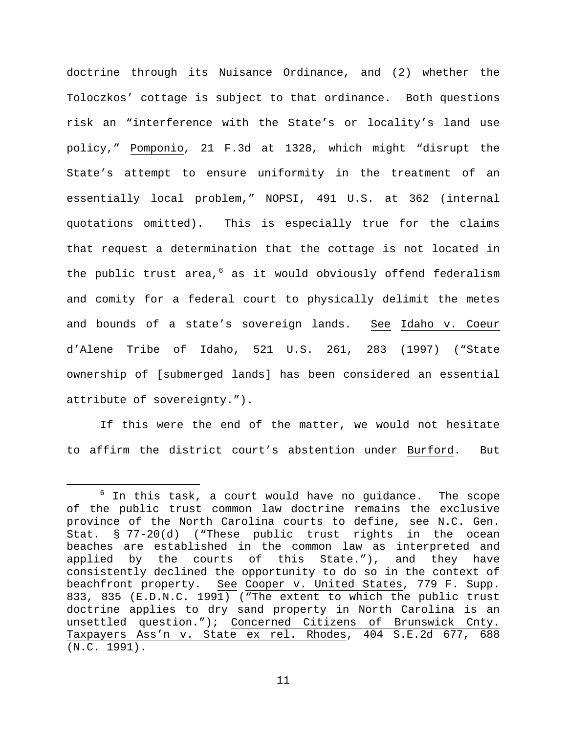doctrine through its Nuisance Ordinance, and (2) whether the Toloczkos' cottage is subject to that ordinance. Both questions risk an "interference with the State's or locality's land use policy," Pomponio, 21 F.3d at 1328, which might "disrupt the State's attempt to ensure uniformity in the treatment of an essentially local problem," NOPSI, 491 U.S. at 362 (internal quotations omitted). This is especially true for the claims that request a determination that the cottage is not located in the public trust area,  $6$  as it would obviously offend federalism and comity for a federal court to physically delimit the metes and bounds of a state's sovereign lands. See Idaho v. Coeur d'Alene Tribe of Idaho, 521 U.S. 261, 283 (1997) ("State ownership of [submerged lands] has been considered an essential attribute of sovereignty.").

If this were the end of the matter, we would not hesitate to affirm the district court's abstention under Burford. But

<span id="page-10-0"></span> $6$  In this task, a court would have no guidance. The scope of the public trust common law doctrine remains the exclusive province of the North Carolina courts to define, see N.C. Gen. Stat. § 77-20(d) ("These public trust rights in the ocean beaches are established in the common law as interpreted and applied by the courts of this State."), and they have consistently declined the opportunity to do so in the context of beachfront property. See Cooper v. United States, 779 F. Supp. 833, 835 (E.D.N.C. 1991) ("The extent to which the public trust doctrine applies to dry sand property in North Carolina is an unsettled question."); Concerned Citizens of Brunswick Cnty. Taxpayers Ass'n v. State ex rel. Rhodes, 404 S.E.2d 677, 688 (N.C. 1991).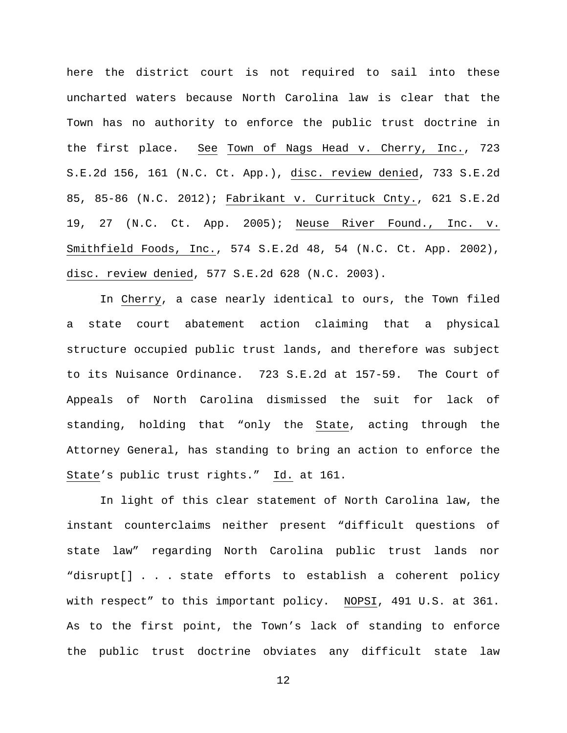here the district court is not required to sail into these uncharted waters because North Carolina law is clear that the Town has no authority to enforce the public trust doctrine in the first place. See Town of Nags Head v. Cherry, Inc., 723 S.E.2d 156, 161 (N.C. Ct. App.), disc. review denied, 733 S.E.2d 85, 85-86 (N.C. 2012); Fabrikant v. Currituck Cnty., 621 S.E.2d 19, 27 (N.C. Ct. App. 2005); Neuse River Found., Inc. v. Smithfield Foods, Inc., 574 S.E.2d 48, 54 (N.C. Ct. App. 2002), disc. review denied, 577 S.E.2d 628 (N.C. 2003).

In Cherry, a case nearly identical to ours, the Town filed a state court abatement action claiming that a physical structure occupied public trust lands, and therefore was subject to its Nuisance Ordinance. 723 S.E.2d at 157-59. The Court of Appeals of North Carolina dismissed the suit for lack of standing, holding that "only the State, acting through the Attorney General, has standing to bring an action to enforce the State's public trust rights." Id. at 161.

In light of this clear statement of North Carolina law, the instant counterclaims neither present "difficult questions of state law" regarding North Carolina public trust lands nor "disrupt[] . . . state efforts to establish a coherent policy with respect" to this important policy. NOPSI, 491 U.S. at 361. As to the first point, the Town's lack of standing to enforce the public trust doctrine obviates any difficult state law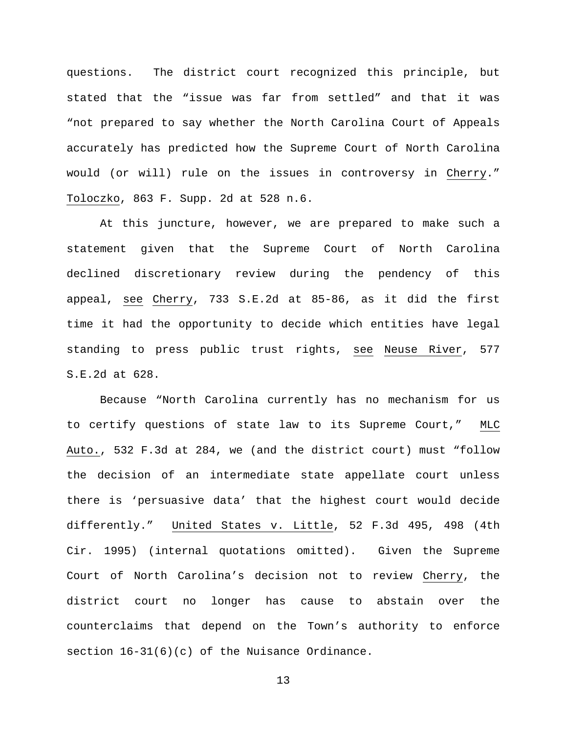questions. The district court recognized this principle, but stated that the "issue was far from settled" and that it was "not prepared to say whether the North Carolina Court of Appeals accurately has predicted how the Supreme Court of North Carolina would (or will) rule on the issues in controversy in Cherry." Toloczko, 863 F. Supp. 2d at 528 n.6.

At this juncture, however, we are prepared to make such a statement given that the Supreme Court of North Carolina declined discretionary review during the pendency of this appeal, see Cherry, 733 S.E.2d at 85-86, as it did the first time it had the opportunity to decide which entities have legal standing to press public trust rights, see Neuse River, 577 S.E.2d at 628.

Because "North Carolina currently has no mechanism for us to certify questions of state law to its Supreme Court," MLC Auto., 532 F.3d at 284, we (and the district court) must "follow the decision of an intermediate state appellate court unless there is 'persuasive data' that the highest court would decide differently." United States v. Little, 52 F.3d 495, 498 (4th Cir. 1995) (internal quotations omitted). Given the Supreme Court of North Carolina's decision not to review Cherry, the district court no longer has cause to abstain over the counterclaims that depend on the Town's authority to enforce section  $16-31(6)(c)$  of the Nuisance Ordinance.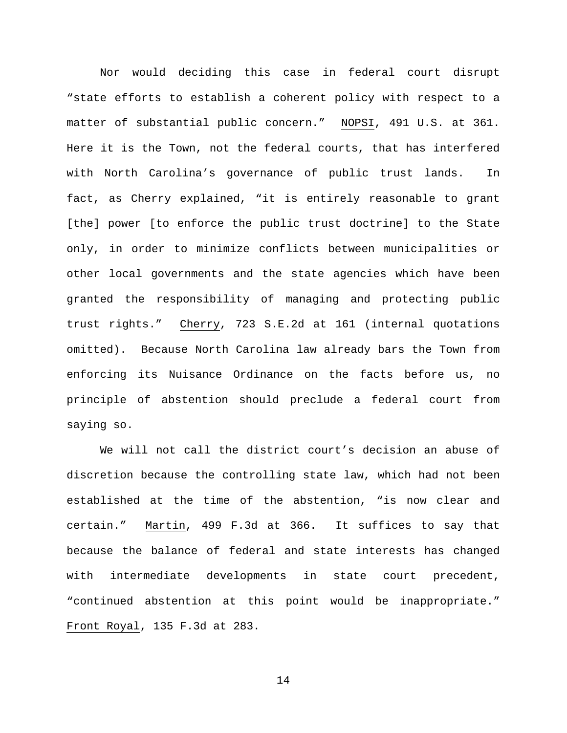Nor would deciding this case in federal court disrupt "state efforts to establish a coherent policy with respect to a matter of substantial public concern." NOPSI, 491 U.S. at 361. Here it is the Town, not the federal courts, that has interfered with North Carolina's governance of public trust lands. In fact, as Cherry explained, "it is entirely reasonable to grant [the] power [to enforce the public trust doctrine] to the State only, in order to minimize conflicts between municipalities or other local governments and the state agencies which have been granted the responsibility of managing and protecting public trust rights." Cherry, 723 S.E.2d at 161 (internal quotations omitted). Because North Carolina law already bars the Town from enforcing its Nuisance Ordinance on the facts before us, no principle of abstention should preclude a federal court from saying so.

We will not call the district court's decision an abuse of discretion because the controlling state law, which had not been established at the time of the abstention, "is now clear and certain." Martin, 499 F.3d at 366. It suffices to say that because the balance of federal and state interests has changed with intermediate developments in state court precedent, "continued abstention at this point would be inappropriate." Front Royal, 135 F.3d at 283.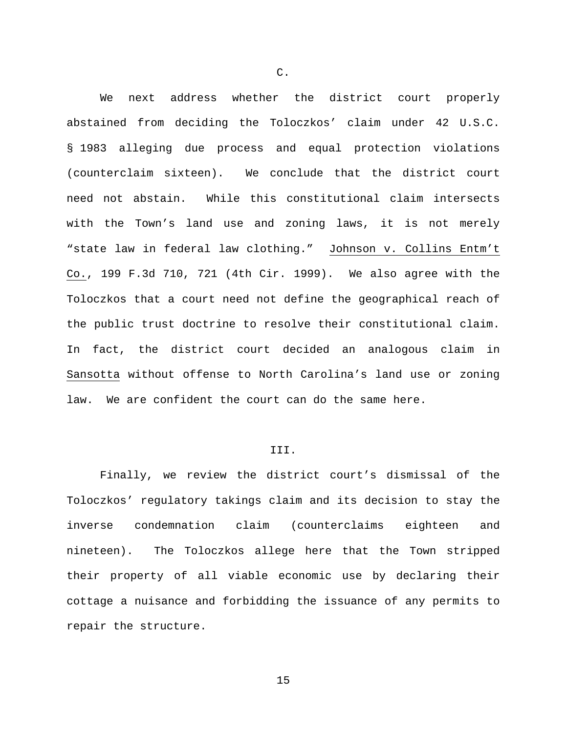We next address whether the district court properly abstained from deciding the Toloczkos' claim under 42 U.S.C. § 1983 alleging due process and equal protection violations (counterclaim sixteen). We conclude that the district court need not abstain. While this constitutional claim intersects with the Town's land use and zoning laws, it is not merely "state law in federal law clothing." Johnson v. Collins Entm't Co., 199 F.3d 710, 721 (4th Cir. 1999). We also agree with the Toloczkos that a court need not define the geographical reach of the public trust doctrine to resolve their constitutional claim. In fact, the district court decided an analogous claim in Sansotta without offense to North Carolina's land use or zoning law. We are confident the court can do the same here.

# III.

Finally, we review the district court's dismissal of the Toloczkos' regulatory takings claim and its decision to stay the inverse condemnation claim (counterclaims eighteen and nineteen). The Toloczkos allege here that the Town stripped their property of all viable economic use by declaring their cottage a nuisance and forbidding the issuance of any permits to repair the structure.

C.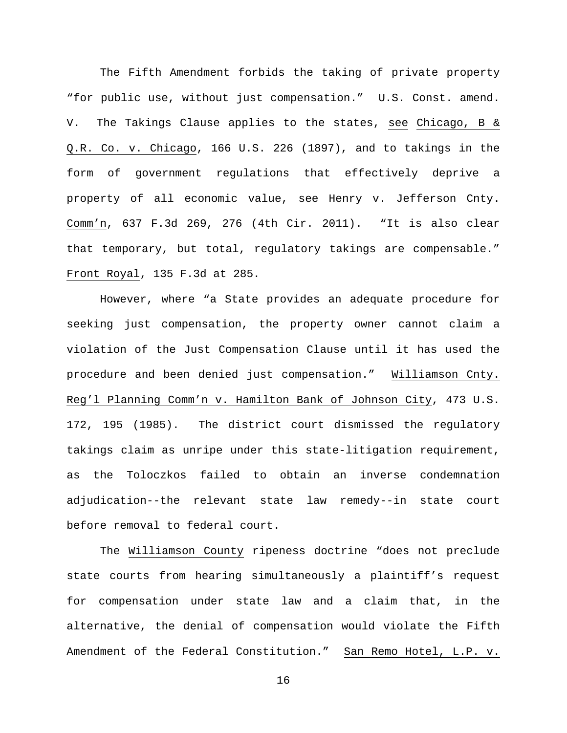The Fifth Amendment forbids the taking of private property "for public use, without just compensation." U.S. Const. amend. V. The Takings Clause applies to the states, see Chicago, B & Q.R. Co. v. Chicago, 166 U.S. 226 (1897), and to takings in the form of government regulations that effectively deprive a property of all economic value, see Henry v. Jefferson Cnty. Comm'n, 637 F.3d 269, 276 (4th Cir. 2011). "It is also clear that temporary, but total, regulatory takings are compensable." Front Royal, 135 F.3d at 285.

However, where "a State provides an adequate procedure for seeking just compensation, the property owner cannot claim a violation of the Just Compensation Clause until it has used the procedure and been denied just compensation." Williamson Cnty. Reg'l Planning Comm'n v. Hamilton Bank of Johnson City, 473 U.S. 172, 195 (1985). The district court dismissed the regulatory takings claim as unripe under this state-litigation requirement, as the Toloczkos failed to obtain an inverse condemnation adjudication--the relevant state law remedy--in state court before removal to federal court.

The Williamson County ripeness doctrine "does not preclude state courts from hearing simultaneously a plaintiff's request for compensation under state law and a claim that, in the alternative, the denial of compensation would violate the Fifth Amendment of the Federal Constitution." San Remo Hotel, L.P. v.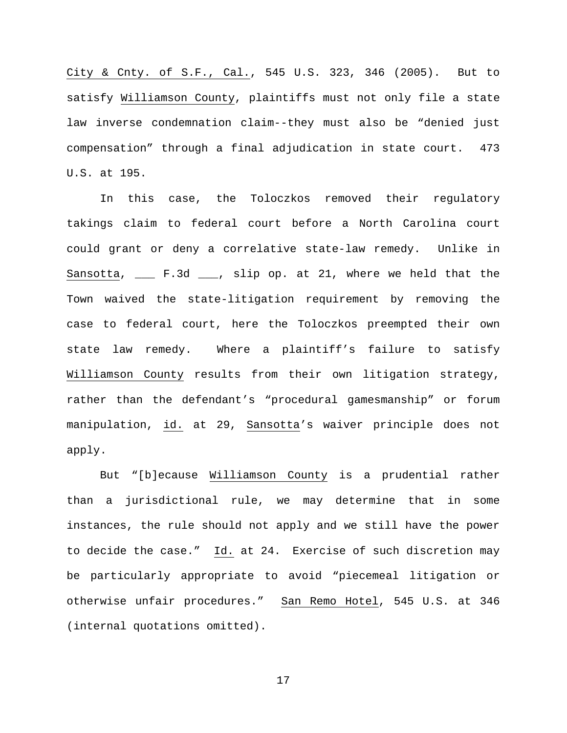City & Cnty. of S.F., Cal., 545 U.S. 323, 346 (2005). But to satisfy Williamson County, plaintiffs must not only file a state law inverse condemnation claim--they must also be "denied just compensation" through a final adjudication in state court. 473 U.S. at 195.

In this case, the Toloczkos removed their regulatory takings claim to federal court before a North Carolina court could grant or deny a correlative state-law remedy. Unlike in Sansotta, \_\_\_ F.3d \_\_\_, slip op. at 21, where we held that the Town waived the state-litigation requirement by removing the case to federal court, here the Toloczkos preempted their own state law remedy. Where a plaintiff's failure to satisfy Williamson County results from their own litigation strategy, rather than the defendant's "procedural gamesmanship" or forum manipulation, id. at 29, Sansotta's waiver principle does not apply.

But "[b]ecause Williamson County is a prudential rather than a jurisdictional rule, we may determine that in some instances, the rule should not apply and we still have the power to decide the case." Id. at 24. Exercise of such discretion may be particularly appropriate to avoid "piecemeal litigation or otherwise unfair procedures." San Remo Hotel, 545 U.S. at 346 (internal quotations omitted).